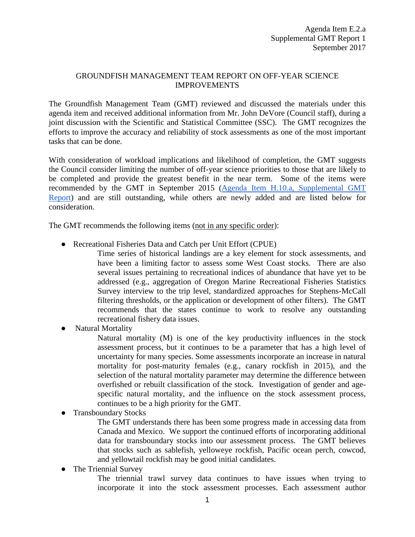## GROUNDFISH MANAGEMENT TEAM REPORT ON OFF-YEAR SCIENCE IMPROVEMENTS

The Groundfish Management Team (GMT) reviewed and discussed the materials under this agenda item and received additional information from Mr. John DeVore (Council staff), during a joint discussion with the Scientific and Statistical Committee (SSC). The GMT recognizes the efforts to improve the accuracy and reliability of stock assessments as one of the most important tasks that can be done.

With consideration of workload implications and likelihood of completion, the GMT suggests the Council consider limiting the number of off-year science priorities to those that are likely to be completed and provide the greatest benefit in the near term. Some of the items were recommended by the GMT in September 2015 [\(Agenda Item H.10.a, Supplemental GMT](http://www.pcouncil.org/wp-content/uploads/2015/08/H10a_SUP_GMT_Rpt_SEPT2015BB.pdf)  [Report\)](http://www.pcouncil.org/wp-content/uploads/2015/08/H10a_SUP_GMT_Rpt_SEPT2015BB.pdf) and are still outstanding, while others are newly added and are listed below for consideration.

The GMT recommends the following items (not in any specific order):

- Recreational Fisheries Data and Catch per Unit Effort (CPUE)
	- Time series of historical landings are a key element for stock assessments, and have been a limiting factor to assess some West Coast stocks. There are also several issues pertaining to recreational indices of abundance that have yet to be addressed (e.g., aggregation of Oregon Marine Recreational Fisheries Statistics Survey interview to the trip level, standardized approaches for Stephens-McCall filtering thresholds, or the application or development of other filters). The GMT recommends that the states continue to work to resolve any outstanding recreational fishery data issues.
- **Natural Mortality**

Natural mortality (M) is one of the key productivity influences in the stock assessment process, but it continues to be a parameter that has a high level of uncertainty for many species. Some assessments incorporate an increase in natural mortality for post-maturity females (e.g., canary rockfish in 2015), and the selection of the natural mortality parameter may determine the difference between overfished or rebuilt classification of the stock. Investigation of gender and agespecific natural mortality, and the influence on the stock assessment process, continues to be a high priority for the GMT.

**Transboundary Stocks** 

The GMT understands there has been some progress made in accessing data from Canada and Mexico. We support the continued efforts of incorporating additional data for transboundary stocks into our assessment process. The GMT believes that stocks such as sablefish, yelloweye rockfish, Pacific ocean perch, cowcod, and yellowtail rockfish may be good initial candidates.

• The Triennial Survey

The triennial trawl survey data continues to have issues when trying to incorporate it into the stock assessment processes. Each assessment author